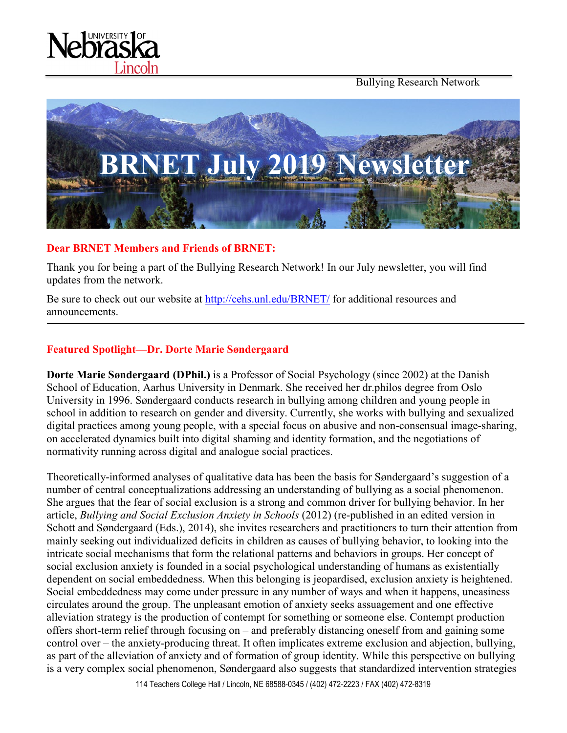Bullying Research Network





## **Dear BRNET Members and Friends of BRNET:**

Thank you for being a part of the Bullying Research Network! In our July newsletter, you will find updates from the network.

Be sure to check out our website at<http://cehs.unl.edu/BRNET/> for additional resources and announcements.

## **Featured Spotlight—Dr. Dorte Marie Søndergaard**

**Dorte Marie Søndergaard (DPhil.)** is a Professor of Social Psychology (since 2002) at the Danish School of Education, Aarhus University in Denmark. She received her dr.philos degree from Oslo University in 1996. Søndergaard conducts research in bullying among children and young people in school in addition to research on gender and diversity. Currently, she works with bullying and sexualized digital practices among young people, with a special focus on abusive and non-consensual image-sharing, on accelerated dynamics built into digital shaming and identity formation, and the negotiations of normativity running across digital and analogue social practices.

Theoretically-informed analyses of qualitative data has been the basis for Søndergaard's suggestion of a number of central conceptualizations addressing an understanding of bullying as a social phenomenon. She argues that the fear of social exclusion is a strong and common driver for bullying behavior. In her article, *Bullying and Social Exclusion Anxiety in Schools* (2012) (re-published in an edited version in Schott and Søndergaard (Eds.), 2014), she invites researchers and practitioners to turn their attention from mainly seeking out individualized deficits in children as causes of bullying behavior, to looking into the intricate social mechanisms that form the relational patterns and behaviors in groups. Her concept of social exclusion anxiety is founded in a social psychological understanding of humans as existentially dependent on social embeddedness. When this belonging is jeopardised, exclusion anxiety is heightened. Social embeddedness may come under pressure in any number of ways and when it happens, uneasiness circulates around the group. The unpleasant emotion of anxiety seeks assuagement and one effective alleviation strategy is the production of contempt for something or someone else. Contempt production offers short‐term relief through focusing on – and preferably distancing oneself from and gaining some control over – the anxiety‐producing threat. It often implicates extreme exclusion and abjection, bullying, as part of the alleviation of anxiety and of formation of group identity. While this perspective on bullying is a very complex social phenomenon, Søndergaard also suggests that standardized intervention strategies

114 Teachers College Hall / Lincoln, NE 68588-0345 / (402) 472-2223 / FAX (402) 472-8319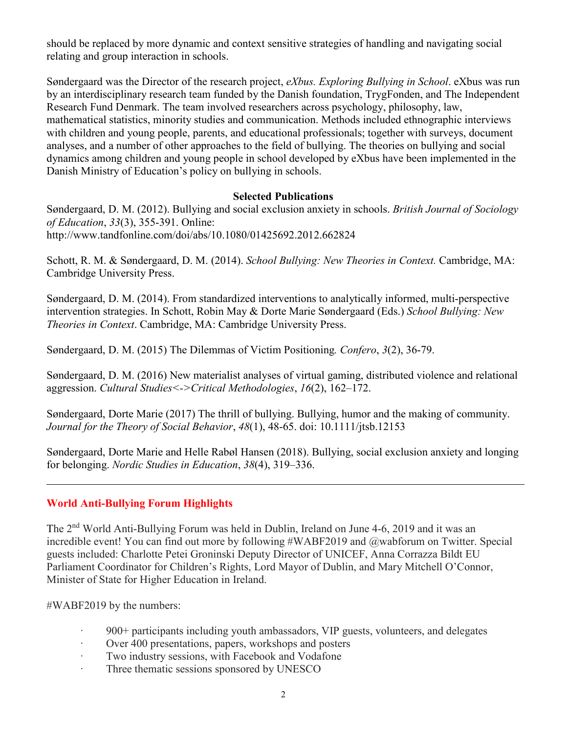should be replaced by more dynamic and context sensitive strategies of handling and navigating social relating and group interaction in schools.

Søndergaard was the Director of the research project, *eXbus. Exploring Bullying in School*. eXbus was run by an interdisciplinary research team funded by the Danish foundation, TrygFonden, and The Independent Research Fund Denmark. The team involved researchers across psychology, philosophy, law, mathematical statistics, minority studies and communication. Methods included ethnographic interviews with children and young people, parents, and educational professionals; together with surveys, document analyses, and a number of other approaches to the field of bullying. The theories on bullying and social dynamics among children and young people in school developed by eXbus have been implemented in the Danish Ministry of Education's policy on bullying in schools.

### **Selected Publications**

Søndergaard, D. M. (2012). Bullying and social exclusion anxiety in schools. *British Journal of Sociology of Education*, *33*(3), 355-391. Online: http://www.tandfonline.com/doi/abs/10.1080/01425692.2012.662824

Schott, R. M. & Søndergaard, D. M. (2014). *School Bullying: New Theories in Context.* Cambridge, MA: Cambridge University Press.

Søndergaard, D. M. (2014). From standardized interventions to analytically informed, multi-perspective intervention strategies. In Schott, Robin May & Dorte Marie Søndergaard (Eds.) *School Bullying: New Theories in Context*. Cambridge, MA: Cambridge University Press.

Søndergaard, D. M. (2015) The Dilemmas of Victim Positioning*. Confero*, *3*(2), 36-79.

Søndergaard, D. M. (2016) New materialist analyses of virtual gaming, distributed violence and relational aggression. *Cultural Studies<->Critical Methodologies*, *16*(2), 162–172.

Søndergaard, Dorte Marie (2017) The thrill of bullying. Bullying, humor and the making of community. *Journal for the Theory of Social Behavior*, *48*(1), 48-65. doi: 10.1111/jtsb.12153

Søndergaard, Dorte Marie and Helle Rabøl Hansen (2018). Bullying, social exclusion anxiety and longing for belonging. *Nordic Studies in Education*, *38*(4), 319–336.

## **World Anti-Bullying Forum Highlights**

The 2nd World Anti-Bullying Forum was held in Dublin, Ireland on June 4-6, 2019 and it was an incredible event! You can find out more by following #WABF2019 and @wabforum on Twitter. Special guests included: Charlotte Petei Groninski Deputy Director of UNICEF, Anna Corrazza Bildt EU Parliament Coordinator for Children's Rights, Lord Mayor of Dublin, and Mary Mitchell O'Connor, Minister of State for Higher Education in Ireland.

#WABF2019 by the numbers:

- · 900+ participants including youth ambassadors, VIP guests, volunteers, and delegates
- · Over 400 presentations, papers, workshops and posters
- Two industry sessions, with Facebook and Vodafone
- · Three thematic sessions sponsored by UNESCO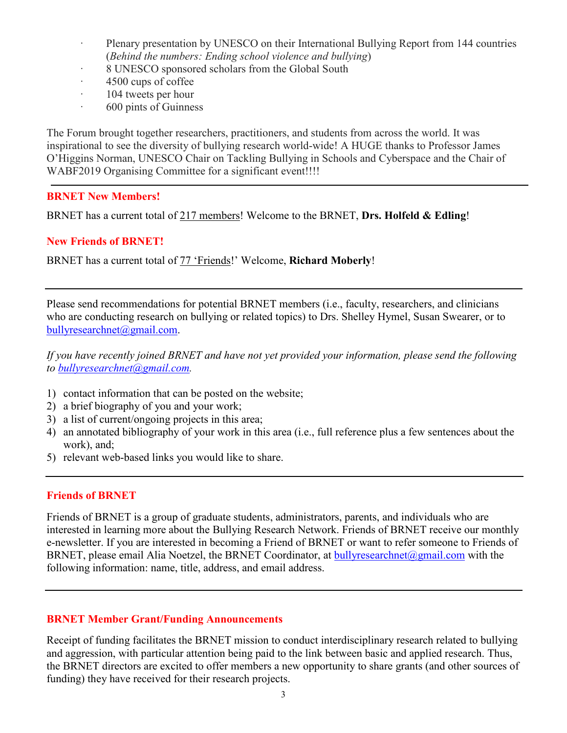- · Plenary presentation by UNESCO on their International Bullying Report from 144 countries (*Behind the numbers: Ending school violence and bullying*)
- 8 UNESCO sponsored scholars from the Global South
- 4500 cups of coffee
- · 104 tweets per hour
- · 600 pints of Guinness

The Forum brought together researchers, practitioners, and students from across the world. It was inspirational to see the diversity of bullying research world-wide! A HUGE thanks to Professor James O'Higgins Norman, UNESCO Chair on Tackling Bullying in Schools and Cyberspace and the Chair of WABF2019 Organising Committee for a significant event!!!!

#### **BRNET New Members!**

BRNET has a current total of 217 members! Welcome to the BRNET, **Drs. Holfeld & Edling**!

#### **New Friends of BRNET!**

BRNET has a current total of 77 'Friends!' Welcome, **Richard Moberly**!

Please send recommendations for potential BRNET members (i.e., faculty, researchers, and clinicians who are conducting research on bullying or related topics) to Drs. Shelley Hymel, Susan Swearer, or to [bullyresearchnet@gmail.com.](mailto:bullyresearchnet@gmail.com)

*If you have recently joined BRNET and have not yet provided your information, please send the following to [bullyresearchnet@gmail.com.](mailto:bullyresearchnet@gmail.com)*

- 1) contact information that can be posted on the website;
- 2) a brief biography of you and your work;
- 3) a list of current/ongoing projects in this area;
- 4) an annotated bibliography of your work in this area (i.e., full reference plus a few sentences about the work), and;
- 5) relevant web-based links you would like to share.

#### **Friends of BRNET**

Friends of BRNET is a group of graduate students, administrators, parents, and individuals who are interested in learning more about the Bullying Research Network. Friends of BRNET receive our monthly e-newsletter. If you are interested in becoming a Friend of BRNET or want to refer someone to Friends of BRNET, please email Alia Noetzel, the BRNET Coordinator, at [bullyresearchnet@gmail.com](mailto:bullyresearchnet@gmail.com) with the following information: name, title, address, and email address.

#### **BRNET Member Grant/Funding Announcements**

Receipt of funding facilitates the BRNET mission to conduct interdisciplinary research related to bullying and aggression, with particular attention being paid to the link between basic and applied research. Thus, the BRNET directors are excited to offer members a new opportunity to share grants (and other sources of funding) they have received for their research projects.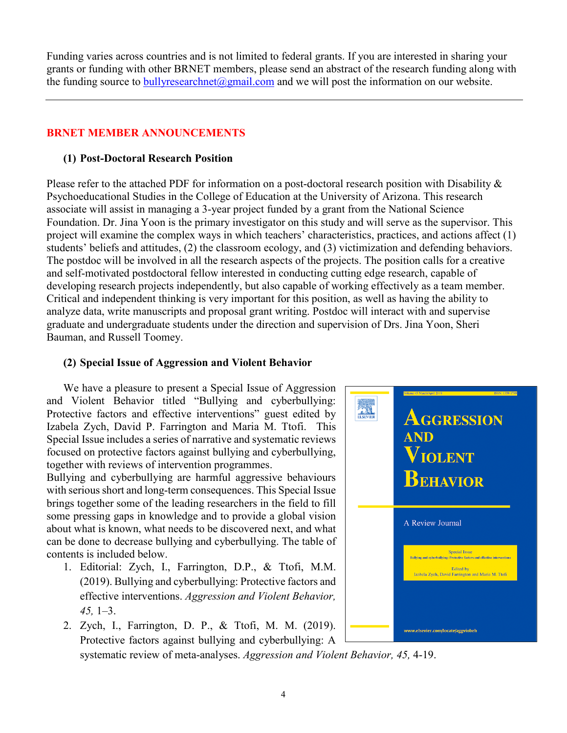Funding varies across countries and is not limited to federal grants. If you are interested in sharing your grants or funding with other BRNET members, please send an abstract of the research funding along with the funding source to bully research net  $\omega$  gmail.com and we will post the information on our website.

# **BRNET MEMBER ANNOUNCEMENTS**

# **(1) Post-Doctoral Research Position**

Please refer to the attached PDF for information on a post-doctoral research position with Disability & Psychoeducational Studies in the College of Education at the University of Arizona. This research associate will assist in managing a 3-year project funded by a grant from the National Science Foundation. Dr. Jina Yoon is the primary investigator on this study and will serve as the supervisor. This project will examine the complex ways in which teachers' characteristics, practices, and actions affect (1) students' beliefs and attitudes, (2) the classroom ecology, and (3) victimization and defending behaviors. The postdoc will be involved in all the research aspects of the projects. The position calls for a creative and self-motivated postdoctoral fellow interested in conducting cutting edge research, capable of developing research projects independently, but also capable of working effectively as a team member. Critical and independent thinking is very important for this position, as well as having the ability to analyze data, write manuscripts and proposal grant writing. Postdoc will interact with and supervise graduate and undergraduate students under the direction and supervision of Drs. Jina Yoon, Sheri Bauman, and Russell Toomey.

## **(2) Special Issue of Aggression and Violent Behavior**

We have a pleasure to present a Special Issue of Aggression and Violent Behavior titled "Bullying and cyberbullying: Protective factors and effective interventions" guest edited by Izabela Zych, David P. Farrington and Maria M. Ttofi. This Special Issue includes a series of narrative and systematic reviews focused on protective factors against bullying and cyberbullying, together with reviews of intervention programmes.

Bullying and cyberbullying are harmful aggressive behaviours with serious short and long-term consequences. This Special Issue brings together some of the leading researchers in the field to fill some pressing gaps in knowledge and to provide a global vision about what is known, what needs to be discovered next, and what can be done to decrease bullying and cyberbullying. The table of contents is included below.

- 1. Editorial: Zych, I., Farrington, D.P., & Ttofi, M.M. (2019). Bullying and cyberbullying: Protective factors and effective interventions. *Aggression and Violent Behavior, 45,* 1–3.
- 2. Zych, I., Farrington, D. P., & Ttofi, M. M. (2019). Protective factors against bullying and cyberbullying: A



systematic review of meta-analyses. *Aggression and Violent Behavior, 45,* 4-19.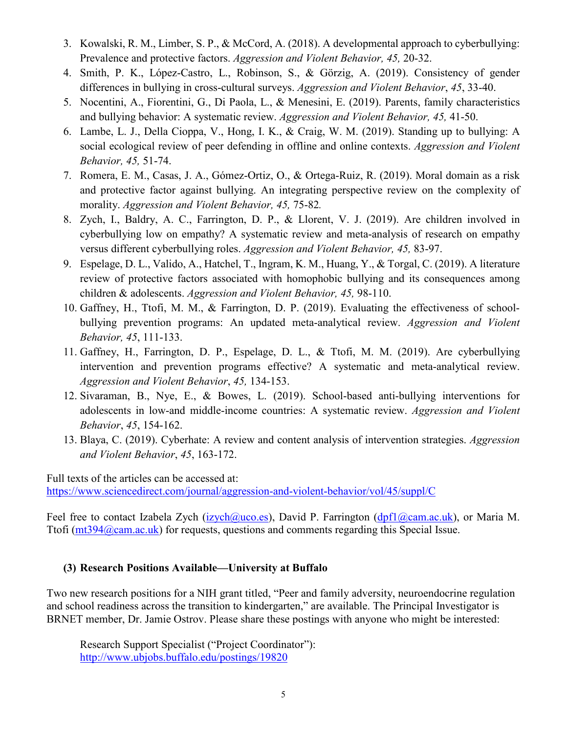- 3. Kowalski, R. M., Limber, S. P., & McCord, A. (2018). A developmental approach to cyberbullying: Prevalence and protective factors. *Aggression and Violent Behavior, 45,* 20-32.
- 4. Smith, P. K., López-Castro, L., Robinson, S., & Görzig, A. (2019). Consistency of gender differences in bullying in cross-cultural surveys. *Aggression and Violent Behavior*, *45*, 33-40.
- 5. Nocentini, A., Fiorentini, G., Di Paola, L., & Menesini, E. (2019). Parents, family characteristics and bullying behavior: A systematic review. *Aggression and Violent Behavior, 45,* 41-50.
- 6. Lambe, L. J., Della Cioppa, V., Hong, I. K., & Craig, W. M. (2019). Standing up to bullying: A social ecological review of peer defending in offline and online contexts. *Aggression and Violent Behavior, 45,* 51-74.
- 7. Romera, E. M., Casas, J. A., Gómez-Ortiz, O., & Ortega-Ruiz, R. (2019). Moral domain as a risk and protective factor against bullying. An integrating perspective review on the complexity of morality. *Aggression and Violent Behavior, 45,* 75-82*.*
- 8. Zych, I., Baldry, A. C., Farrington, D. P., & Llorent, V. J. (2019). Are children involved in cyberbullying low on empathy? A systematic review and meta-analysis of research on empathy versus different cyberbullying roles. *Aggression and Violent Behavior, 45,* 83-97.
- 9. Espelage, D. L., Valido, A., Hatchel, T., Ingram, K. M., Huang, Y., & Torgal, C. (2019). A literature review of protective factors associated with homophobic bullying and its consequences among children & adolescents. *Aggression and Violent Behavior, 45,* 98-110.
- 10. Gaffney, H., Ttofi, M. M., & Farrington, D. P. (2019). Evaluating the effectiveness of schoolbullying prevention programs: An updated meta-analytical review. *Aggression and Violent Behavior, 45*, 111-133.
- 11. Gaffney, H., Farrington, D. P., Espelage, D. L., & Ttofi, M. M. (2019). Are cyberbullying intervention and prevention programs effective? A systematic and meta-analytical review. *Aggression and Violent Behavior*, *45,* 134-153.
- 12. Sivaraman, B., Nye, E., & Bowes, L. (2019). School-based anti-bullying interventions for adolescents in low-and middle-income countries: A systematic review. *Aggression and Violent Behavior*, *45*, 154-162.
- 13. Blaya, C. (2019). Cyberhate: A review and content analysis of intervention strategies. *Aggression and Violent Behavior*, *45*, 163-172.

Full texts of the articles can be accessed at: <https://www.sciencedirect.com/journal/aggression-and-violent-behavior/vol/45/suppl/C>

Feel free to contact Izabela Zych [\(izych@uco.es\)](mailto:izych@uco.es), David P. Farrington [\(dpf1@cam.ac.uk\)](mailto:dpf1@cam.ac.uk), or Maria M. Ttofi [\(mt394@cam.ac.uk\)](mailto:mt394@cam.ac.uk) for requests, questions and comments regarding this Special Issue.

## **(3) Research Positions Available—University at Buffalo**

Two new research positions for a NIH grant titled, "Peer and family adversity, neuroendocrine regulation and school readiness across the transition to kindergarten," are available. The Principal Investigator is BRNET member, Dr. Jamie Ostrov. Please share these postings with anyone who might be interested:

Research Support Specialist ("Project Coordinator"): <http://www.ubjobs.buffalo.edu/postings/19820>